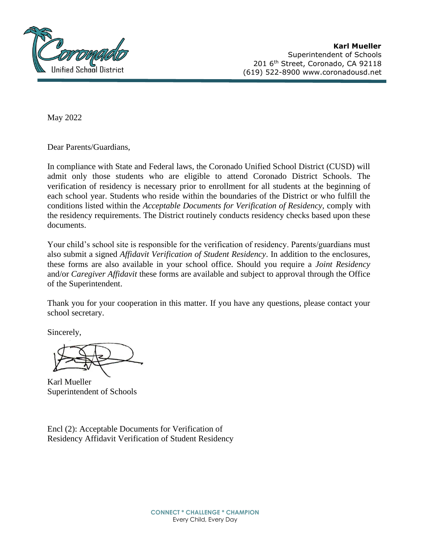

May 2022

Dear Parents/Guardians,

In compliance with State and Federal laws, the Coronado Unified School District (CUSD) will admit only those students who are eligible to attend Coronado District Schools. The verification of residency is necessary prior to enrollment for all students at the beginning of each school year. Students who reside within the boundaries of the District or who fulfill the conditions listed within the *Acceptable Documents for Verification of Residency,* comply with the residency requirements. The District routinely conducts residency checks based upon these documents.

Your child's school site is responsible for the verification of residency. Parents/guardians must also submit a signed *Affidavit Verification of Student Residency*. In addition to the enclosures, these forms are also available in your school office. Should you require a *Joint Residency*  and/or *Caregiver Affidavit* these forms are available and subject to approval through the Office of the Superintendent.

Thank you for your cooperation in this matter. If you have any questions, please contact your school secretary.

Sincerely,

Karl Mueller Superintendent of Schools

Encl (2): Acceptable Documents for Verification of Residency Affidavit Verification of Student Residency

> **CONNECT \* CHALLENGE \* CHAMPION** Every Child, Every Day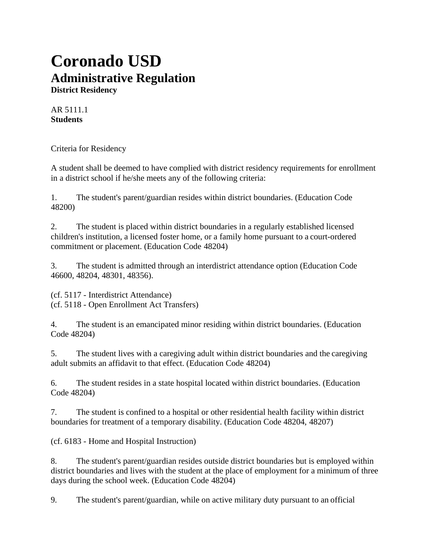## **Coronado USD Administrative Regulation**

**District Residency**

AR 5111.1 **Students**

Criteria for Residency

A student shall be deemed to have complied with district residency requirements for enrollment in a district school if he/she meets any of the following criteria:

1. The student's parent/guardian resides within district boundaries. (Education Code 48200)

2. The student is placed within district boundaries in a regularly established licensed children's institution, a licensed foster home, or a family home pursuant to a court-ordered commitment or placement. (Education Code 48204)

3. The student is admitted through an interdistrict attendance option (Education Code 46600, 48204, 48301, 48356).

(cf. 5117 - Interdistrict Attendance) (cf. 5118 - Open Enrollment Act Transfers)

4. The student is an emancipated minor residing within district boundaries. (Education Code 48204)

5. The student lives with a caregiving adult within district boundaries and the caregiving adult submits an affidavit to that effect. (Education Code 48204)

6. The student resides in a state hospital located within district boundaries. (Education Code 48204)

7. The student is confined to a hospital or other residential health facility within district boundaries for treatment of a temporary disability. (Education Code 48204, 48207)

(cf. 6183 - Home and Hospital Instruction)

8. The student's parent/guardian resides outside district boundaries but is employed within district boundaries and lives with the student at the place of employment for a minimum of three days during the school week. (Education Code 48204)

9. The student's parent/guardian, while on active military duty pursuant to an official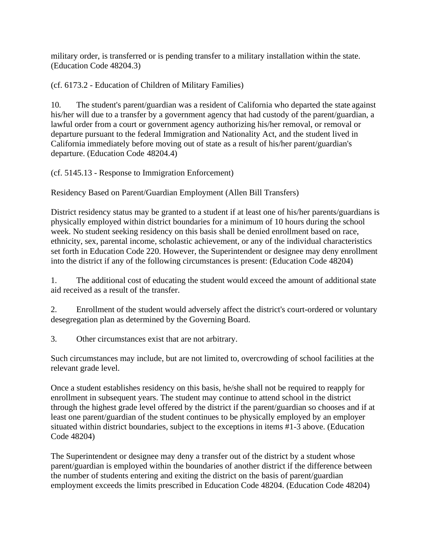military order, is transferred or is pending transfer to a military installation within the state. (Education Code 48204.3)

(cf. 6173.2 - Education of Children of Military Families)

10. The student's parent/guardian was a resident of California who departed the state against his/her will due to a transfer by a government agency that had custody of the parent/guardian, a lawful order from a court or government agency authorizing his/her removal, or removal or departure pursuant to the federal Immigration and Nationality Act, and the student lived in California immediately before moving out of state as a result of his/her parent/guardian's departure. (Education Code 48204.4)

(cf. 5145.13 - Response to Immigration Enforcement)

Residency Based on Parent/Guardian Employment (Allen Bill Transfers)

District residency status may be granted to a student if at least one of his/her parents/guardians is physically employed within district boundaries for a minimum of 10 hours during the school week. No student seeking residency on this basis shall be denied enrollment based on race, ethnicity, sex, parental income, scholastic achievement, or any of the individual characteristics set forth in Education Code 220. However, the Superintendent or designee may deny enrollment into the district if any of the following circumstances is present: (Education Code 48204)

1. The additional cost of educating the student would exceed the amount of additionalstate aid received as a result of the transfer.

2. Enrollment of the student would adversely affect the district's court-ordered or voluntary desegregation plan as determined by the Governing Board.

3. Other circumstances exist that are not arbitrary.

Such circumstances may include, but are not limited to, overcrowding of school facilities at the relevant grade level.

Once a student establishes residency on this basis, he/she shall not be required to reapply for enrollment in subsequent years. The student may continue to attend school in the district through the highest grade level offered by the district if the parent/guardian so chooses and if at least one parent/guardian of the student continues to be physically employed by an employer situated within district boundaries, subject to the exceptions in items #1-3 above. (Education Code 48204)

The Superintendent or designee may deny a transfer out of the district by a student whose parent/guardian is employed within the boundaries of another district if the difference between the number of students entering and exiting the district on the basis of parent/guardian employment exceeds the limits prescribed in Education Code 48204. (Education Code 48204)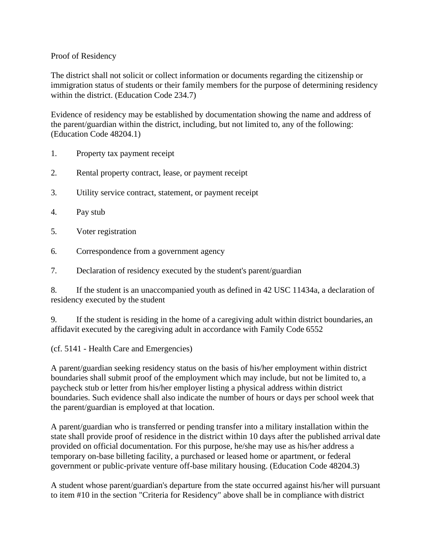## Proof of Residency

The district shall not solicit or collect information or documents regarding the citizenship or immigration status of students or their family members for the purpose of determining residency within the district. (Education Code 234.7)

Evidence of residency may be established by documentation showing the name and address of the parent/guardian within the district, including, but not limited to, any of the following: (Education Code 48204.1)

- 1. Property tax payment receipt
- 2. Rental property contract, lease, or payment receipt
- 3. Utility service contract, statement, or payment receipt
- 4. Pay stub
- 5. Voter registration
- 6. Correspondence from a government agency
- 7. Declaration of residency executed by the student's parent/guardian

8. If the student is an unaccompanied youth as defined in 42 USC 11434a, a declaration of residency executed by the student

9. If the student is residing in the home of a caregiving adult within district boundaries, an affidavit executed by the caregiving adult in accordance with Family Code 6552

(cf. 5141 - Health Care and Emergencies)

A parent/guardian seeking residency status on the basis of his/her employment within district boundaries shall submit proof of the employment which may include, but not be limited to, a paycheck stub or letter from his/her employer listing a physical address within district boundaries. Such evidence shall also indicate the number of hours or days per school week that the parent/guardian is employed at that location.

A parent/guardian who is transferred or pending transfer into a military installation within the state shall provide proof of residence in the district within 10 days after the published arrival date provided on official documentation. For this purpose, he/she may use as his/her address a temporary on-base billeting facility, a purchased or leased home or apartment, or federal government or public-private venture off-base military housing. (Education Code 48204.3)

A student whose parent/guardian's departure from the state occurred against his/her will pursuant to item #10 in the section "Criteria for Residency" above shall be in compliance with district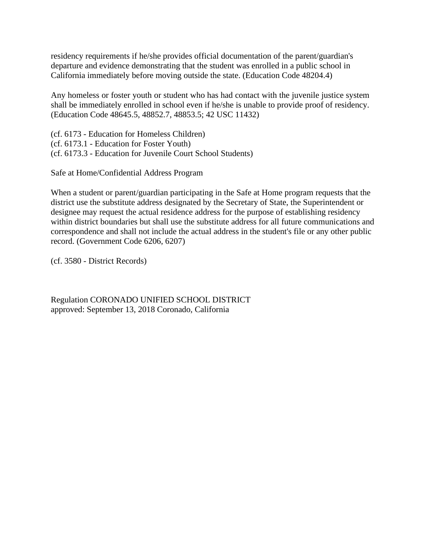residency requirements if he/she provides official documentation of the parent/guardian's departure and evidence demonstrating that the student was enrolled in a public school in California immediately before moving outside the state. (Education Code 48204.4)

Any homeless or foster youth or student who has had contact with the juvenile justice system shall be immediately enrolled in school even if he/she is unable to provide proof of residency. (Education Code 48645.5, 48852.7, 48853.5; 42 USC 11432)

(cf. 6173 - Education for Homeless Children) (cf. 6173.1 - Education for Foster Youth) (cf. 6173.3 - Education for Juvenile Court School Students)

Safe at Home/Confidential Address Program

When a student or parent/guardian participating in the Safe at Home program requests that the district use the substitute address designated by the Secretary of State, the Superintendent or designee may request the actual residence address for the purpose of establishing residency within district boundaries but shall use the substitute address for all future communications and correspondence and shall not include the actual address in the student's file or any other public record. (Government Code 6206, 6207)

(cf. 3580 - District Records)

Regulation CORONADO UNIFIED SCHOOL DISTRICT approved: September 13, 2018 Coronado, California